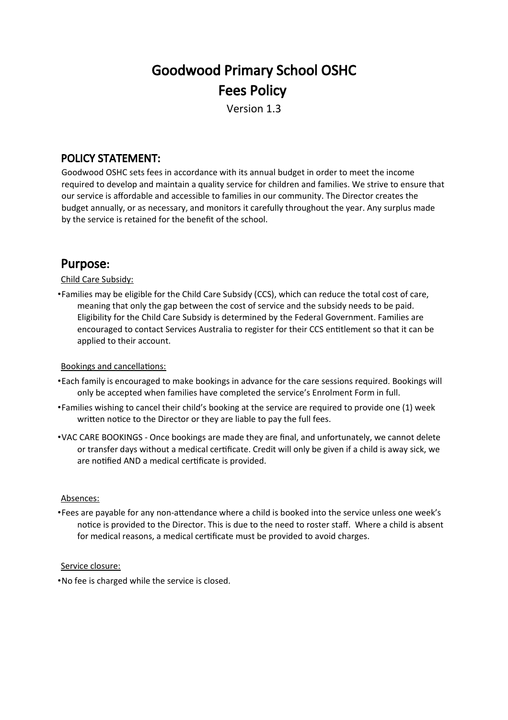# Goodwood Primary School OSHC Fees Policy

Version 1.3

## POLICY STATEMENT:

Goodwood OSHC sets fees in accordance with its annual budget in order to meet the income required to develop and maintain a quality service for children and families. We strive to ensure that our service is afordable and accessible to families in our community. The Director creates the budget annually, or as necessary, and monitors it carefully throughout the year. Any surplus made by the service is retained for the beneft of the school.

# Purpose:

Child Care Subsidy:

•Families may be eligible for the Child Care Subsidy (CCS), which can reduce the total cost of care, meaning that only the gap between the cost of service and the subsidy needs to be paid. Eligibility for the Child Care Subsidy is determined by the Federal Government. Families are encouraged to contact Services Australia to register for their CCS enttlement so that it can be applied to their account.

#### Bookings and cancellations:

- •Each family is encouraged to make bookings in advance for the care sessions required. Bookings will only be accepted when families have completed the service's Enrolment Form in full.
- •Families wishing to cancel their child's booking at the service are required to provide one (1) week written notice to the Director or they are liable to pay the full fees.
- •VAC CARE BOOKINGS Once bookings are made they are fnal, and unfortunately, we cannot delete or transfer days without a medical certificate. Credit will only be given if a child is away sick, we are notified AND a medical certificate is provided.

#### Absences:

•Fees are payable for any non-atendance where a child is booked into the service unless one week's notice is provided to the Director. This is due to the need to roster staff. Where a child is absent for medical reasons, a medical certificate must be provided to avoid charges.

#### Service closure:

•No fee is charged while the service is closed.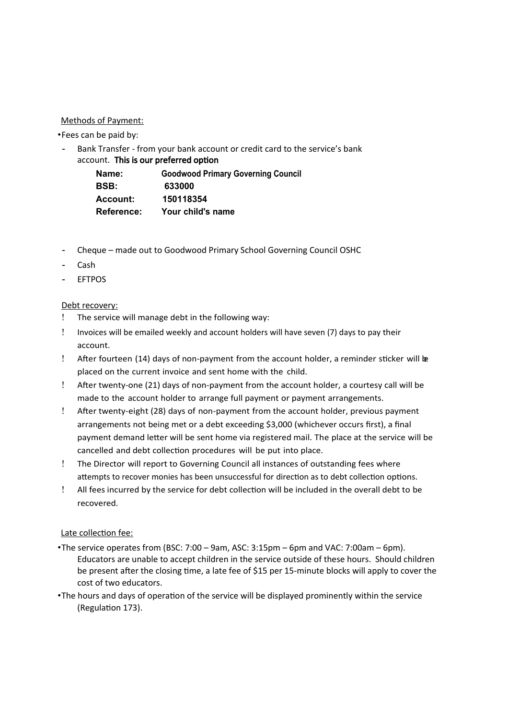#### Methods of Payment:

•Fees can be paid by:

Bank Transfer - from your bank account or credit card to the service's bank account. This is our preferred option

| Name:             | <b>Goodwood Primary Governing Council</b> |
|-------------------|-------------------------------------------|
| <b>BSB:</b>       | 633000                                    |
| <b>Account:</b>   | 150118354                                 |
| <b>Reference:</b> | Your child's name                         |

- Cheque made out to Goodwood Primary School Governing Council OSHC
- Cash
- EFTPOS

#### Debt recovery:

- The service will manage debt in the following way:
- Invoices will be emailed weekly and account holders will have seven (7) days to pay their account.
- After fourteen (14) days of non-payment from the account holder, a reminder sticker will be placed on the current invoice and sent home with the child.
- Afer twenty-one (21) days of non-payment from the account holder, a courtesy call will be made to the account holder to arrange full payment or payment arrangements.
- Afer twenty-eight (28) days of non-payment from the account holder, previous payment arrangements not being met or a debt exceeding \$3,000 (whichever occurs frst), a fnal payment demand leter will be sent home via registered mail. The place at the service will be cancelled and debt collection procedures will be put into place.
- The Director will report to Governing Council all instances of outstanding fees where attempts to recover monies has been unsuccessful for direction as to debt collection options.
- All fees incurred by the service for debt collecton will be included in the overall debt to be recovered.

#### Late collection fee:

- •The service operates from (BSC: 7:00 9am, ASC: 3:15pm 6pm and VAC: 7:00am 6pm). Educators are unable to accept children in the service outside of these hours. Should children be present after the closing time, a late fee of \$15 per 15-minute blocks will apply to cover the cost of two educators.
- •The hours and days of operaton of the service will be displayed prominently within the service (Regulation 173).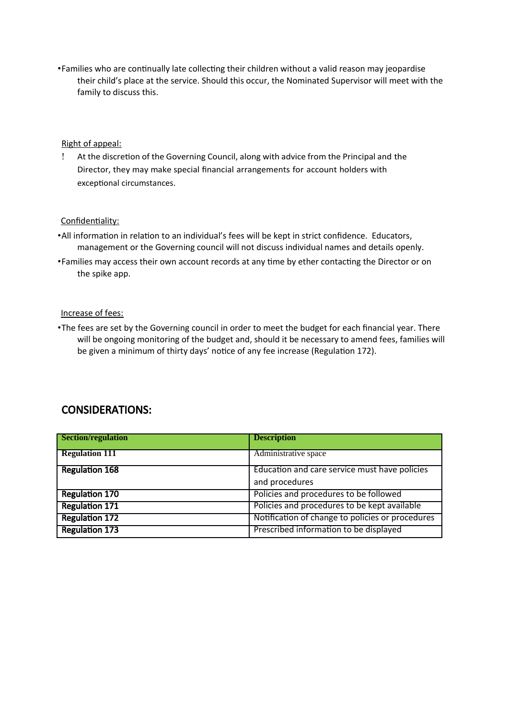•Families who are contnually late collectng their children without a valid reason may jeopardise their child's place at the service. Should this occur, the Nominated Supervisor will meet with the family to discuss this.

#### Right of appeal:

 At the discreton of the Governing Council, along with advice from the Principal and the Director, they may make special fnancial arrangements for account holders with exceptional circumstances.

#### Confidentiality:

- •All information in relation to an individual's fees will be kept in strict confidence. Educators, management or the Governing council will not discuss individual names and details openly.
- •Families may access their own account records at any time by ether contacting the Director or on the spike app.

#### Increase of fees:

•The fees are set by the Governing council in order to meet the budget for each fnancial year. There will be ongoing monitoring of the budget and, should it be necessary to amend fees, families will be given a minimum of thirty days' notice of any fee increase (Regulation 172).

### CONSIDERATIONS:

| Section/regulation    | <b>Description</b>                               |
|-----------------------|--------------------------------------------------|
| <b>Regulation 111</b> | Administrative space                             |
| <b>Regulation 168</b> | Education and care service must have policies    |
|                       | and procedures                                   |
| <b>Regulation 170</b> | Policies and procedures to be followed           |
| <b>Regulation 171</b> | Policies and procedures to be kept available     |
| <b>Regulation 172</b> | Notification of change to policies or procedures |
| <b>Regulation 173</b> | Prescribed information to be displayed           |